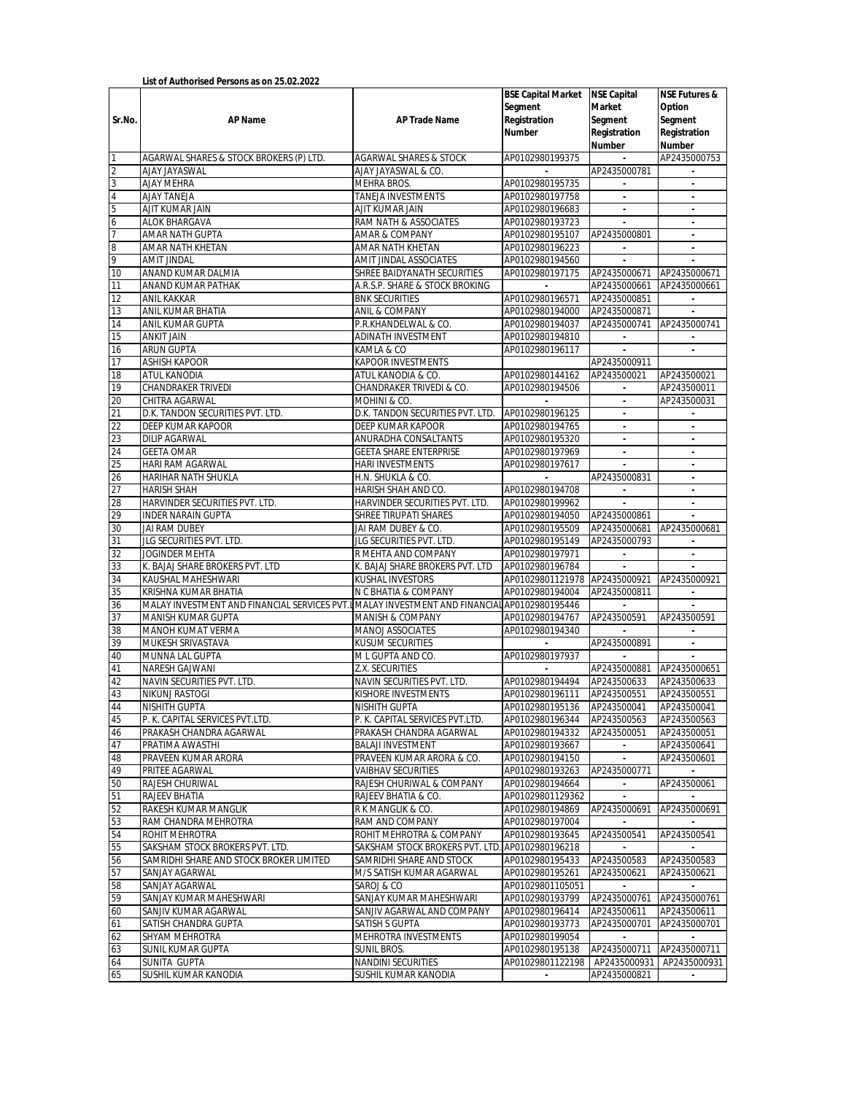|                         |                                                                                              |                                                    | <b>BSE Capital Market NSE Capital</b> |                             | <b>NSE Futures &amp;</b>                 |
|-------------------------|----------------------------------------------------------------------------------------------|----------------------------------------------------|---------------------------------------|-----------------------------|------------------------------------------|
|                         |                                                                                              |                                                    | Segment                               | Market                      | Option                                   |
| Sr.No.                  | AP Name                                                                                      | AP Trade Name                                      | Registration                          | Segment                     | Segment                                  |
|                         |                                                                                              |                                                    | Number                                | Registration                | Registration                             |
|                         |                                                                                              |                                                    |                                       | Number                      | Number                                   |
| $\mathbf{1}$            | AGARWAL SHARES & STOCK BROKERS (P) LTD.                                                      | <b>AGARWAL SHARES &amp; STOCK</b>                  | AP0102980199375                       |                             | AP2435000753                             |
| $\overline{\mathbf{c}}$ | <b>AJAY JAYASWAL</b>                                                                         | AJAY JAYASWAL & CO.                                |                                       | AP2435000781                |                                          |
| $\overline{3}$          | <b>AJAY MEHRA</b>                                                                            | <b>MEHRA BROS.</b>                                 | AP0102980195735                       | $\sim$                      | $\blacksquare$                           |
| $\overline{4}$          | <b>AJAY TANEJA</b>                                                                           | <b>TANEJA INVESTMENTS</b>                          | AP0102980197758                       | $\blacksquare$              | $\blacksquare$                           |
| $\overline{5}$          | AJIT KUMAR JAIN                                                                              | AJIT KUMAR JAIN                                    | AP0102980196683                       | $\Box$                      |                                          |
| 6                       | ALOK BHARGAVA                                                                                | RAM NATH & ASSOCIATES                              | AP0102980193723                       |                             |                                          |
| $\overline{7}$          | AMAR NATH GUPTA                                                                              | AMAR & COMPANY                                     | AP0102980195107                       | AP2435000801                |                                          |
| $\overline{\mathbf{8}}$ | AMAR NATH KHETAN                                                                             | AMAR NATH KHETAN                                   | AP0102980196223                       |                             |                                          |
| 9                       | <b>AMIT JINDAL</b>                                                                           | AMIT JINDAL ASSOCIATES                             | AP0102980194560                       | $\mathbf{r}$                |                                          |
| 10                      | ANAND KUMAR DALMIA                                                                           | SHREE BAIDYANATH SECURITIES                        | AP0102980197175                       | AP2435000671                | AP2435000671                             |
| 11                      | ANAND KUMAR PATHAK                                                                           | A.R.S.P. SHARE & STOCK BROKING                     |                                       | AP2435000661                | AP2435000661                             |
| 12                      | <b>ANIL KAKKAR</b>                                                                           | <b>BNK SECURITIES</b>                              | AP0102980196571                       | AP2435000851                |                                          |
| 13                      | ANIL KUMAR BHATIA                                                                            | <b>ANIL &amp; COMPANY</b>                          | AP0102980194000                       | AP2435000871                |                                          |
| 14                      | <b>ANIL KUMAR GUPTA</b>                                                                      | P.R.KHANDELWAL & CO.                               | AP0102980194037                       | AP2435000741                | AP2435000741                             |
| 15                      | <b>ANKIT JAIN</b>                                                                            | ADINATH INVESTMENT                                 | AP0102980194810                       | $\blacksquare$              |                                          |
| 16                      | <b>ARUN GUPTA</b>                                                                            | KAMLA & CO                                         | AP0102980196117                       | $\blacksquare$              | $\mathcal{L}_{\mathcal{A}}$              |
| 17<br>18                | <b>ASHISH KAPOOR</b><br>ATUL KANODIA                                                         | <b>KAPOOR INVESTMENTS</b><br>ATUL KANODIA & CO.    | AP0102980144162                       | AP2435000911<br>AP243500021 | AP243500021                              |
| 19                      | <b>CHANDRAKER TRIVEDI</b>                                                                    | CHANDRAKER TRIVEDI & CO.                           | AP0102980194506                       | $\blacksquare$              | AP243500011                              |
| 20                      | CHITRA AGARWAL                                                                               | MOHINI & CO.                                       |                                       | $\mathcal{L}$               | AP243500031                              |
| 21                      | D.K. TANDON SECURITIES PVT. LTD.                                                             | D.K. TANDON SECURITIES PVT. LTD.                   | AP0102980196125                       | $\overline{\phantom{a}}$    |                                          |
| $\overline{22}$         | <b>DEEP KUMAR KAPOOR</b>                                                                     | DEEP KUMAR KAPOOR                                  | AP0102980194765                       | $\blacksquare$              |                                          |
| 23                      | <b>DILIP AGARWAL</b>                                                                         | <b>ANURADHA CONSALTANTS</b>                        | AP0102980195320                       | $\overline{\phantom{a}}$    | $\overline{\phantom{a}}$                 |
| 24                      | <b>GEETA OMAR</b>                                                                            | <b>GEETA SHARE ENTERPRISE</b>                      | AP0102980197969                       | $\overline{\phantom{a}}$    |                                          |
| 25                      | HARI RAM AGARWAL                                                                             | HARI INVESTMENTS                                   | AP0102980197617                       |                             | $\overline{\phantom{a}}$                 |
| 26                      | <b>HARIHAR NATH SHUKLA</b>                                                                   | H.N. SHUKLA & CO.                                  |                                       | AP2435000831                |                                          |
| 27                      | <b>HARISH SHAH</b>                                                                           | HARISH SHAH AND CO.                                | AP0102980194708                       | $\blacksquare$              | $\overline{\phantom{a}}$                 |
| 28                      | HARVINDER SECURITIES PVT. LTD.                                                               | HARVINDER SECURITIES PVT. LTD.                     | AP0102980199962                       |                             | $\blacksquare$                           |
| 29                      | <b>INDER NARAIN GUPTA</b>                                                                    | SHREE TIRUPATI SHARES                              | AP0102980194050                       | AP2435000861                |                                          |
| 30                      | <b>JAI RAM DUBEY</b>                                                                         | JAI RAM DUBEY & CO.                                | AP0102980195509                       | AP2435000681                | AP2435000681                             |
| 31                      | JLG SECURITIES PVT. LTD.                                                                     | JLG SECURITIES PVT. LTD.                           | AP0102980195149                       | AP2435000793                |                                          |
| 32                      | JOGINDER MEHTA                                                                               | R MEHTA AND COMPANY                                | AP0102980197971                       | $\sim$                      | $\sim$                                   |
| 33                      | K. BAJAJ SHARE BROKERS PVT. LTD                                                              | K. BAJAJ SHARE BROKERS PVT. LTD                    | AP0102980196784                       |                             |                                          |
| 34                      | KAUSHAL MAHESHWARI                                                                           | <b>KUSHAL INVESTORS</b>                            | AP01029801121978 AP2435000921         |                             | AP2435000921                             |
| 35                      | KRISHNA KUMAR BHATIA                                                                         | N C BHATIA & COMPANY                               | AP0102980194004                       | AP2435000811                |                                          |
| 36                      | MALAY INVESTMENT AND FINANCIAL SERVICES PVT.I MALAY INVESTMENT AND FINANCIAL AP0102980195446 |                                                    |                                       |                             |                                          |
| 37                      | <b>MANISH KUMAR GUPTA</b>                                                                    | <b>MANISH &amp; COMPANY</b>                        | AP0102980194767                       | AP243500591                 | AP243500591                              |
| 38<br>39                | <b>MANOH KUMAT VERMA</b><br>MUKESH SRIVASTAVA                                                | <b>MANOJ ASSOCIATES</b><br><b>KUSUM SECURITIES</b> | AP0102980194340                       | AP2435000891                |                                          |
| 40                      | <b>MUNNA LAL GUPTA</b>                                                                       | M L GUPTA AND CO.                                  | AP0102980197937                       | $\overline{\phantom{a}}$    | $\overline{\phantom{a}}$<br>$\mathbf{r}$ |
| 41                      | <b>NARESH GAJWANI</b>                                                                        | Z.X. SECURITIES                                    | $\sim$                                | AP2435000881 AP2435000651   |                                          |
| 42                      | NAVIN SECURITIES PVT. LTD.                                                                   | NAVIN SECURITIES PVT. LTD.                         | AP0102980194494                       | AP243500633                 | AP243500633                              |
| 43                      | <b>NIKUNJ RASTOGI</b>                                                                        | <b>KISHORE INVESTMENTS</b>                         | AP0102980196111                       | AP243500551                 | AP243500551                              |
| 44                      | <b>NISHITH GUPTA</b>                                                                         | <b>NISHITH GUPTA</b>                               | AP0102980195136 AP243500041           |                             | AP243500041                              |
| 45                      | P. K. CAPITAL SERVICES PVT.LTD.                                                              | P. K. CAPITAL SERVICES PVT.LTD.                    | AP0102980196344                       | AP243500563                 | AP243500563                              |
| 46                      | PRAKASH CHANDRA AGARWAL                                                                      | PRAKASH CHANDRA AGARWAL                            | AP0102980194332                       | AP243500051                 | AP243500051                              |
| 47                      | PRATIMA AWASTHI                                                                              | <b>BALAJI INVESTMENT</b>                           | AP0102980193667                       |                             | AP243500641                              |
| 48                      | PRAVEEN KUMAR ARORA                                                                          | PRAVEEN KUMAR ARORA & CO.                          | AP0102980194150                       |                             | AP243500601                              |
| 49                      | PRITEE AGARWAL                                                                               | <b>VAIBHAV SECURITIES</b>                          | AP0102980193263                       | AP2435000771                |                                          |
| 50                      | RAJESH CHURIWAL                                                                              | RAJESH CHURIWAL & COMPANY                          | AP0102980194664                       |                             | AP243500061                              |
| 51                      | <b>RAJEEV BHATIA</b>                                                                         | RAJEEV BHATIA & CO.                                | AP01029801129362                      |                             |                                          |
| 52                      | RAKESH KUMAR MANGLIK                                                                         | R K MANGLIK & CO.                                  | AP0102980194869                       | AP2435000691                | AP2435000691                             |
| 53                      | RAM CHANDRA MEHROTRA                                                                         | RAM AND COMPANY                                    | AP0102980197004                       |                             |                                          |
| 54                      | ROHIT MEHROTRA                                                                               | ROHIT MEHROTRA & COMPANY                           | AP0102980193645                       | AP243500541                 | AP243500541                              |
| 55                      | SAKSHAM STOCK BROKERS PVT. LTD.                                                              | SAKSHAM STOCK BROKERS PVT. LTD. AP0102980196218    |                                       |                             |                                          |
| 56                      | SAMRIDHI SHARE AND STOCK BROKER LIMITED                                                      | SAMRIDHI SHARE AND STOCK                           | AP0102980195433                       | AP243500583                 | AP243500583                              |
| 57                      | SANJAY AGARWAL                                                                               | M/S SATISH KUMAR AGARWAL                           | AP0102980195261                       | AP243500621                 | AP243500621                              |
| 58                      | SANJAY AGARWAL                                                                               | SAROJ & CO                                         | AP01029801105051                      | $\mathcal{L}$               |                                          |
| 59                      | SANJAY KUMAR MAHESHWARI                                                                      | SANJAY KUMAR MAHESHWARI                            | AP0102980193799                       | AP2435000761                | AP2435000761                             |
| 60                      | SANJIV KUMAR AGARWAL                                                                         | SANJIV AGARWAL AND COMPANY                         | AP0102980196414                       | AP243500611                 | AP243500611                              |
| 61<br>62                | SATISH CHANDRA GUPTA<br>SHYAM MEHROTRA                                                       | SATISH S GUPTA<br>MEHROTRA INVESTMENTS             | AP0102980193773<br>AP0102980199054    | AP2435000701                | AP2435000701                             |
| 63                      | <b>SUNIL KUMAR GUPTA</b>                                                                     | SUNIL BROS.                                        | AP0102980195138                       | AP2435000711                | AP2435000711                             |
| 64                      | <b>SUNITA GUPTA</b>                                                                          | <b>NANDINI SECURITIES</b>                          | AP01029801122198                      | AP2435000931                | AP2435000931                             |
| 65                      | SUSHIL KUMAR KANODIA                                                                         | SUSHIL KUMAR KANODIA                               | $\overline{\phantom{a}}$              | AP2435000821                | $\overline{\phantom{a}}$                 |
|                         |                                                                                              |                                                    |                                       |                             |                                          |